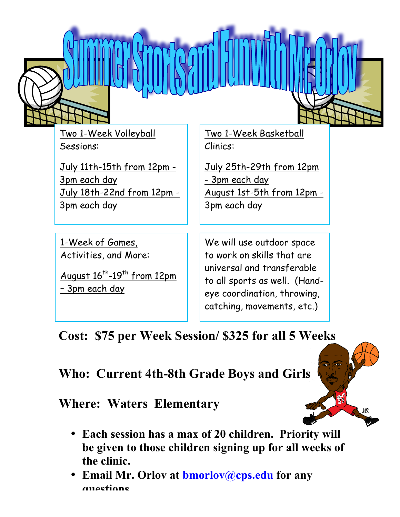

Two 1-Week Volleyball Sessions:

July 11th-15th from 12pm - 3pm each day July 18th-22nd from 12pm - 3pm each day

1-Week of Games, Activities, and More:

August  $16^{th}$ -19<sup>th</sup> from 12pm – 3pm each day

Two 1-Week Basketball Clinics:

July 25th-29th from 12pm - 3pm each day August 1st-5th from 12pm - 3pm each day

We will use outdoor space to work on skills that are universal and transferable to all sports as well. (Handeye coordination, throwing, catching, movements, etc.)

## **Cost: \$75 per Week Session/ \$325 for all 5 Weeks**

**Who: Current 4th-8th Grade Boys and Girls**

**Where: Waters Elementary**

- **Each session has a max of 20 children. Priority will be given to those children signing up for all weeks of the clinic.**
- **Email Mr. Orlov at bmorlov@cps.edu for any questions.**